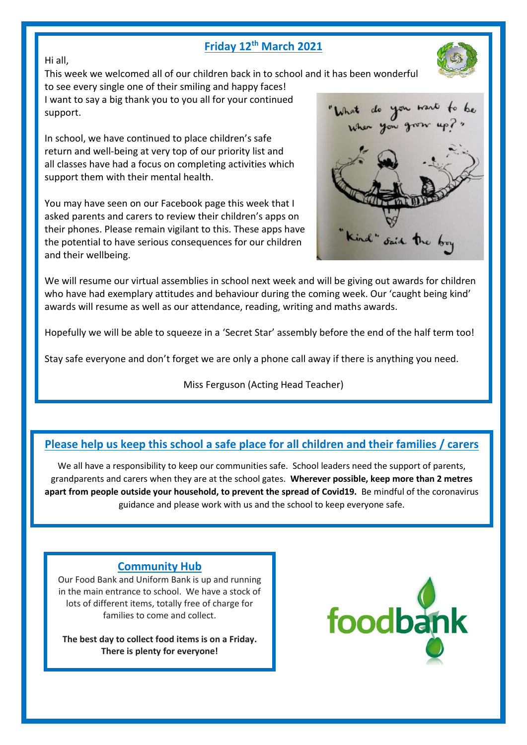# **Friday 12th March 2021**



This week we welcomed all of our children back in to school and it has been wonderful

to see every single one of their smiling and happy faces! I want to say a big thank you to you all for your continued support.

In school, we have continued to place children's safe return and well-being at very top of our priority list and all classes have had a focus on completing activities which support them with their mental health.

You may have seen on our Facebook page this week that I asked parents and carers to review their children's apps on their phones. Please remain vigilant to this. These apps have the potential to have serious consequences for our children and their wellbeing.



We will resume our virtual assemblies in school next week and will be giving out awards for children who have had exemplary attitudes and behaviour during the coming week. Our 'caught being kind' awards will resume as well as our attendance, reading, writing and maths awards.

Hopefully we will be able to squeeze in a 'Secret Star' assembly before the end of the half term too!

Stay safe everyone and don't forget we are only a phone call away if there is anything you need.

Miss Ferguson (Acting Head Teacher)

# **Please help us keep this school a safe place for all children and their families / carers**

We all have a responsibility to keep our communities safe. School leaders need the support of parents, grandparents and carers when they are at the school gates. **Wherever possible, keep more than 2 metres apart from people outside your household, to prevent the spread of Covid19.** Be mindful of the coronavirus guidance and please work with us and the school to keep everyone safe.

## **Community Hub**

Our Food Bank and Uniform Bank is up and running in the main entrance to school. We have a stock of lots of different items, totally free of charge for families to come and collect.

**The best day to collect food items is on a Friday. There is plenty for everyone!**



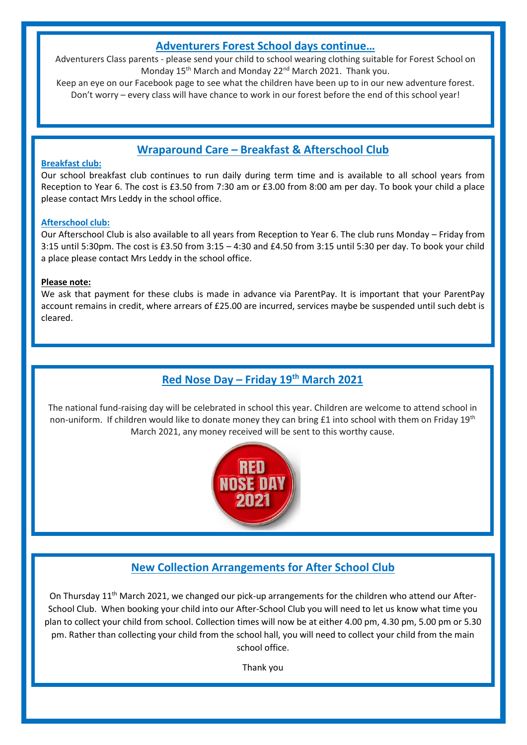### **Adventurers Forest School days continue…**

Adventurers Class parents - please send your child to school wearing clothing suitable for Forest School on Monday 15<sup>th</sup> March and Monday 22<sup>nd</sup> March 2021. Thank you.

Keep an eye on our Facebook page to see what the children have been up to in our new adventure forest. Don't worry – every class will have chance to work in our forest before the end of this school year!

# **Wraparound Care – Breakfast & Afterschool Club**

### **Breakfast club:**

Our school breakfast club continues to run daily during term time and is available to all school years from Reception to Year 6. The cost is £3.50 from 7:30 am or £3.00 from 8:00 am per day. To book your child a place please contact Mrs Leddy in the school office.

### **Afterschool club:**

Our Afterschool Club is also available to all years from Reception to Year 6. The club runs Monday – Friday from 3:15 until 5:30pm. The cost is £3.50 from 3:15 – 4:30 and £4.50 from 3:15 until 5:30 per day. To book your child a place please contact Mrs Leddy in the school office.

### **Please note:**

We ask that payment for these clubs is made in advance via ParentPay. It is important that your ParentPay account remains in credit, where arrears of £25.00 are incurred, services maybe be suspended until such debt is cleared.

# **Red Nose Day – Friday 19th March 2021**

The national fund-raising day will be celebrated in school this year. Children are welcome to attend school in non-uniform. If children would like to donate money they can bring £1 into school with them on Friday 19<sup>th</sup> March 2021, any money received will be sent to this worthy cause.



# **New Collection Arrangements for After School Club**

On Thursday 11<sup>th</sup> March 2021, we changed our pick-up arrangements for the children who attend our After-School Club. When booking your child into our After-School Club you will need to let us know what time you plan to collect your child from school. Collection times will now be at either 4.00 pm, 4.30 pm, 5.00 pm or 5.30 pm. Rather than collecting your child from the school hall, you will need to collect your child from the main school office.

Thank you